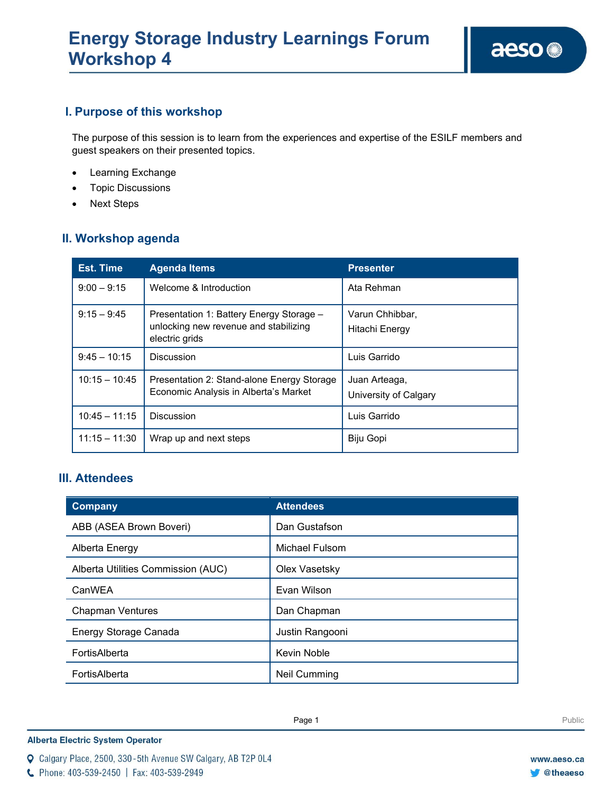# **I. Purpose of this workshop**

The purpose of this session is to learn from the experiences and expertise of the ESILF members and guest speakers on their presented topics.

- Learning Exchange
- Topic Discussions
- Next Steps

# **II. Workshop agenda**

| <b>Est. Time</b> | <b>Agenda Items</b>                                                                                 | <b>Presenter</b>                       |
|------------------|-----------------------------------------------------------------------------------------------------|----------------------------------------|
| $9:00 - 9:15$    | Welcome & Introduction                                                                              | Ata Rehman                             |
| $9:15 - 9:45$    | Presentation 1: Battery Energy Storage -<br>unlocking new revenue and stabilizing<br>electric grids | Varun Chhibbar,<br>Hitachi Energy      |
| $9:45 - 10:15$   | Discussion                                                                                          | Luis Garrido                           |
| $10:15 - 10:45$  | Presentation 2: Stand-alone Energy Storage<br>Economic Analysis in Alberta's Market                 | Juan Arteaga,<br>University of Calgary |
| $10:45 - 11:15$  | Discussion                                                                                          | Luis Garrido                           |
| $11:15 - 11:30$  | Wrap up and next steps                                                                              | Biju Gopi                              |

## **III. Attendees**

| <b>Company</b>                     | <b>Attendees</b>    |
|------------------------------------|---------------------|
| ABB (ASEA Brown Boveri)            | Dan Gustafson       |
| Alberta Energy                     | Michael Fulsom      |
| Alberta Utilities Commission (AUC) | Olex Vasetsky       |
| CanWEA                             | Evan Wilson         |
| <b>Chapman Ventures</b>            | Dan Chapman         |
| Energy Storage Canada              | Justin Rangooni     |
| FortisAlberta                      | Kevin Noble         |
| FortisAlberta                      | <b>Neil Cumming</b> |

**Enter Football Page 1** Public Public Public Public Public Public Public Public Public Public Public Public Public Public Public Public Public Public Public Public Public Public Public Public Public Public Public Public Pu

**Alberta Electric System Operator** 

Q Calgary Place, 2500, 330-5th Avenue SW Calgary, AB T2P 0L4

C Phone: 403-539-2450 | Fax: 403-539-2949

**C**theaeso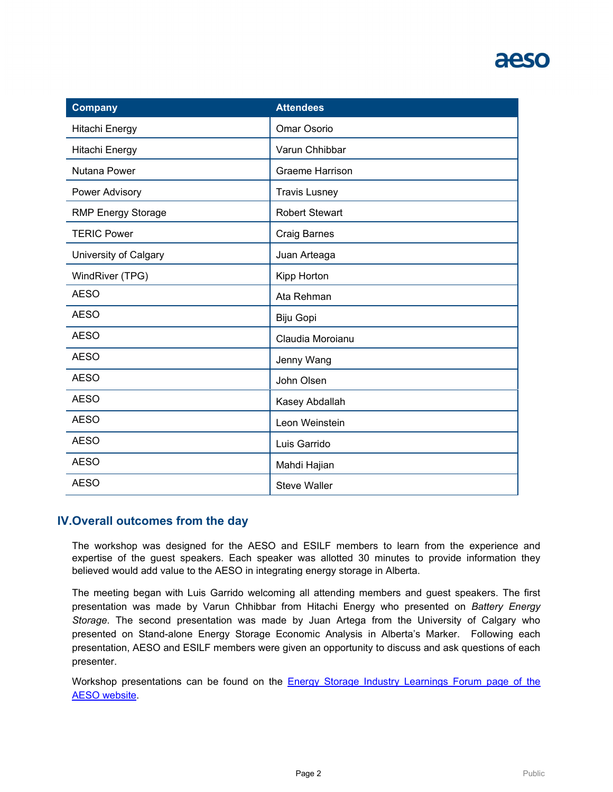# aeso

| <b>Company</b>            | <b>Attendees</b>      |
|---------------------------|-----------------------|
| Hitachi Energy            | Omar Osorio           |
| Hitachi Energy            | Varun Chhibbar        |
| Nutana Power              | Graeme Harrison       |
| Power Advisory            | <b>Travis Lusney</b>  |
| <b>RMP Energy Storage</b> | <b>Robert Stewart</b> |
| <b>TERIC Power</b>        | <b>Craig Barnes</b>   |
| University of Calgary     | Juan Arteaga          |
| WindRiver (TPG)           | Kipp Horton           |
| <b>AESO</b>               | Ata Rehman            |
| <b>AESO</b>               | Biju Gopi             |
| <b>AESO</b>               | Claudia Moroianu      |
| <b>AESO</b>               | Jenny Wang            |
| <b>AESO</b>               | John Olsen            |
| <b>AESO</b>               | Kasey Abdallah        |
| <b>AESO</b>               | Leon Weinstein        |
| <b>AESO</b>               | Luis Garrido          |
| <b>AESO</b>               | Mahdi Hajian          |
| <b>AESO</b>               | <b>Steve Waller</b>   |

## **IV.Overall outcomes from the day**

The workshop was designed for the AESO and ESILF members to learn from the experience and expertise of the guest speakers. Each speaker was allotted 30 minutes to provide information they believed would add value to the AESO in integrating energy storage in Alberta.

The meeting began with Luis Garrido welcoming all attending members and guest speakers. The first presentation was made by Varun Chhibbar from Hitachi Energy who presented on *Battery Energy Storage*. The second presentation was made by Juan Artega from the University of Calgary who presented on Stand-alone Energy Storage Economic Analysis in Alberta's Marker. Following each presentation, AESO and ESILF members were given an opportunity to discuss and ask questions of each presenter.

Workshop presentations can be found on the [Energy Storage Industry Learnings Forum page of the](https://www.aeso.ca/grid/grid-related-initiatives/energy-storage/energy-storage-industry-learnings-forum/)  [AESO website.](https://www.aeso.ca/grid/grid-related-initiatives/energy-storage/energy-storage-industry-learnings-forum/)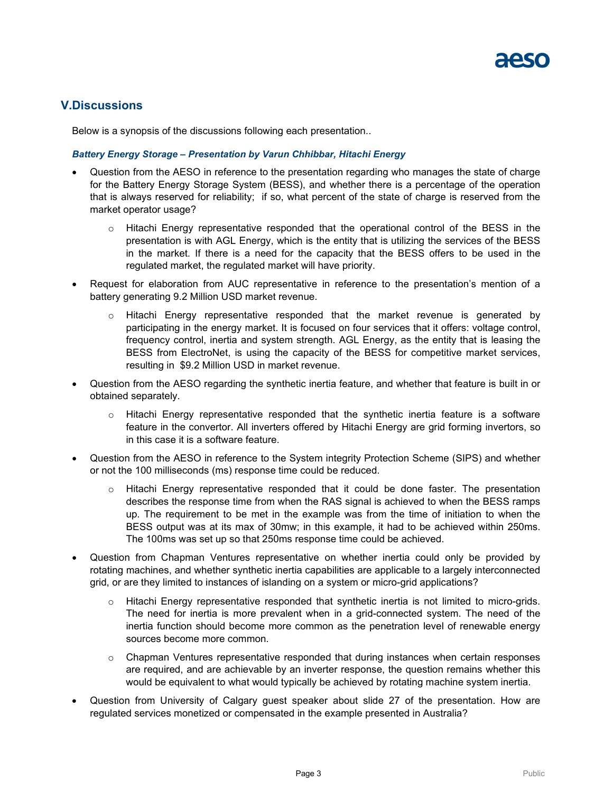## **V.Discussions**

Below is a synopsis of the discussions following each presentation..

#### *Battery Energy Storage – Presentation by Varun Chhibbar, Hitachi Energy*

- Question from the AESO in reference to the presentation regarding who manages the state of charge for the Battery Energy Storage System (BESS), and whether there is a percentage of the operation that is always reserved for reliability; if so, what percent of the state of charge is reserved from the market operator usage?
	- $\circ$  Hitachi Energy representative responded that the operational control of the BESS in the presentation is with AGL Energy, which is the entity that is utilizing the services of the BESS in the market. If there is a need for the capacity that the BESS offers to be used in the regulated market, the regulated market will have priority.
- Request for elaboration from AUC representative in reference to the presentation's mention of a battery generating 9.2 Million USD market revenue.
	- $\circ$  Hitachi Energy representative responded that the market revenue is generated by participating in the energy market. It is focused on four services that it offers: voltage control, frequency control, inertia and system strength. AGL Energy, as the entity that is leasing the BESS from ElectroNet, is using the capacity of the BESS for competitive market services, resulting in \$9.2 Million USD in market revenue.
- Question from the AESO regarding the synthetic inertia feature, and whether that feature is built in or obtained separately.
	- $\circ$  Hitachi Energy representative responded that the synthetic inertia feature is a software feature in the convertor. All inverters offered by Hitachi Energy are grid forming invertors, so in this case it is a software feature.
- Question from the AESO in reference to the System integrity Protection Scheme (SIPS) and whether or not the 100 milliseconds (ms) response time could be reduced.
	- o Hitachi Energy representative responded that it could be done faster. The presentation describes the response time from when the RAS signal is achieved to when the BESS ramps up. The requirement to be met in the example was from the time of initiation to when the BESS output was at its max of 30mw; in this example, it had to be achieved within 250ms. The 100ms was set up so that 250ms response time could be achieved.
- Question from Chapman Ventures representative on whether inertia could only be provided by rotating machines, and whether synthetic inertia capabilities are applicable to a largely interconnected grid, or are they limited to instances of islanding on a system or micro-grid applications?
	- Hitachi Energy representative responded that synthetic inertia is not limited to micro-grids. The need for inertia is more prevalent when in a grid-connected system. The need of the inertia function should become more common as the penetration level of renewable energy sources become more common.
	- $\circ$  Chapman Ventures representative responded that during instances when certain responses are required, and are achievable by an inverter response, the question remains whether this would be equivalent to what would typically be achieved by rotating machine system inertia.
- Question from University of Calgary guest speaker about slide 27 of the presentation. How are regulated services monetized or compensated in the example presented in Australia?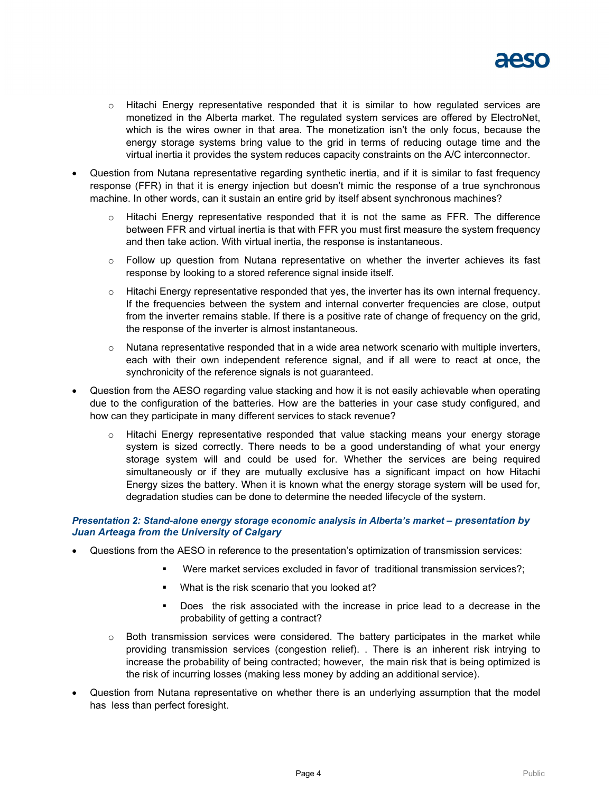

- $\circ$  Hitachi Energy representative responded that it is similar to how regulated services are monetized in the Alberta market. The regulated system services are offered by ElectroNet, which is the wires owner in that area. The monetization isn't the only focus, because the energy storage systems bring value to the grid in terms of reducing outage time and the virtual inertia it provides the system reduces capacity constraints on the A/C interconnector.
- Question from Nutana representative regarding synthetic inertia, and if it is similar to fast frequency response (FFR) in that it is energy injection but doesn't mimic the response of a true synchronous machine. In other words, can it sustain an entire grid by itself absent synchronous machines?
	- o Hitachi Energy representative responded that it is not the same as FFR. The difference between FFR and virtual inertia is that with FFR you must first measure the system frequency and then take action. With virtual inertia, the response is instantaneous.
	- $\circ$  Follow up question from Nutana representative on whether the inverter achieves its fast response by looking to a stored reference signal inside itself.
	- $\circ$  Hitachi Energy representative responded that yes, the inverter has its own internal frequency. If the frequencies between the system and internal converter frequencies are close, output from the inverter remains stable. If there is a positive rate of change of frequency on the grid, the response of the inverter is almost instantaneous.
	- $\circ$  Nutana representative responded that in a wide area network scenario with multiple inverters, each with their own independent reference signal, and if all were to react at once, the synchronicity of the reference signals is not guaranteed.
- Question from the AESO regarding value stacking and how it is not easily achievable when operating due to the configuration of the batteries. How are the batteries in your case study configured, and how can they participate in many different services to stack revenue?
	- o Hitachi Energy representative responded that value stacking means your energy storage system is sized correctly. There needs to be a good understanding of what your energy storage system will and could be used for. Whether the services are being required simultaneously or if they are mutually exclusive has a significant impact on how Hitachi Energy sizes the battery. When it is known what the energy storage system will be used for, degradation studies can be done to determine the needed lifecycle of the system.

#### *Presentation 2: Stand-alone energy storage economic analysis in Alberta's market – presentation by Juan Arteaga from the University of Calgary*

- Questions from the AESO in reference to the presentation's optimization of transmission services:
	- Were market services excluded in favor of traditional transmission services?;
	- What is the risk scenario that you looked at?
	- Does the risk associated with the increase in price lead to a decrease in the probability of getting a contract?
	- $\circ$  Both transmission services were considered. The battery participates in the market while providing transmission services (congestion relief). . There is an inherent risk intrying to increase the probability of being contracted; however, the main risk that is being optimized is the risk of incurring losses (making less money by adding an additional service).
- Question from Nutana representative on whether there is an underlying assumption that the model has less than perfect foresight.